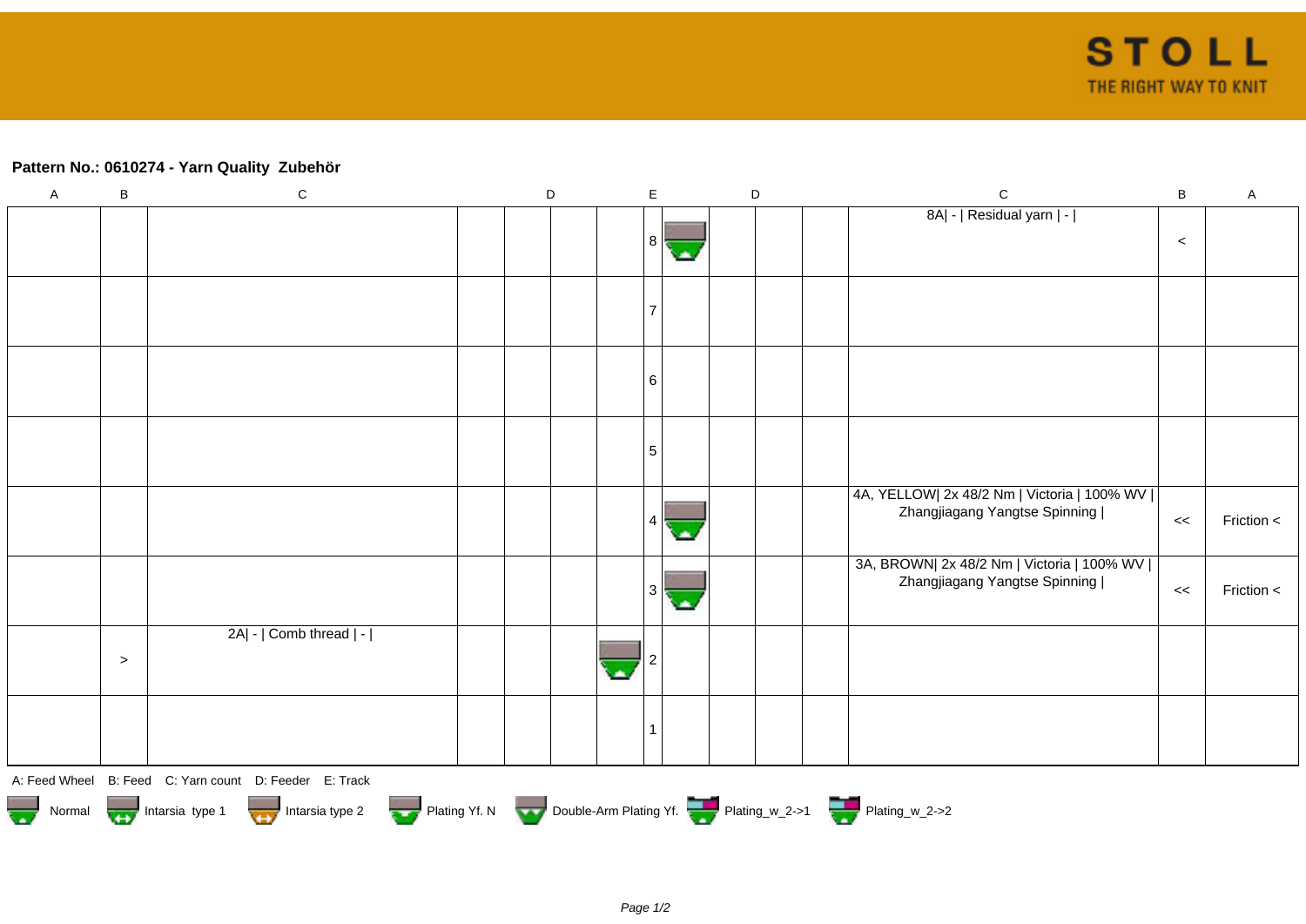## **Pattern No.: 0610274 - Yarn Quality Zubehör**

| $\mathsf A$                                                                                                  | $\sf B$ | ${\bf C}$                                              |  | D |  | E |    | $\mathsf D$ |                                                                               | $\mathbf C$                                                                    | $\, {\bf B}$ | $\mathsf A$ |
|--------------------------------------------------------------------------------------------------------------|---------|--------------------------------------------------------|--|---|--|---|----|-------------|-------------------------------------------------------------------------------|--------------------------------------------------------------------------------|--------------|-------------|
|                                                                                                              |         |                                                        |  |   |  |   |    |             |                                                                               | 8A  -   Residual yarn   -                                                      |              |             |
|                                                                                                              |         |                                                        |  |   |  | 8 |    |             |                                                                               |                                                                                | $\,<$        |             |
|                                                                                                              |         |                                                        |  |   |  |   |    |             |                                                                               |                                                                                |              |             |
|                                                                                                              |         |                                                        |  |   |  |   |    |             |                                                                               |                                                                                |              |             |
|                                                                                                              |         |                                                        |  |   |  |   |    |             |                                                                               |                                                                                |              |             |
|                                                                                                              |         |                                                        |  |   |  | 6 |    |             |                                                                               |                                                                                |              |             |
|                                                                                                              |         |                                                        |  |   |  |   |    |             |                                                                               |                                                                                |              |             |
|                                                                                                              |         |                                                        |  |   |  | 5 |    |             |                                                                               |                                                                                |              |             |
|                                                                                                              |         |                                                        |  |   |  |   |    |             |                                                                               | 4A, YELLOW  2x 48/2 Nm   Victoria   100% WV  <br>Zhangjiagang Yangtse Spinning | <<           | Friction <  |
|                                                                                                              |         |                                                        |  |   |  | 4 |    |             |                                                                               |                                                                                |              |             |
|                                                                                                              |         |                                                        |  |   |  |   |    |             | 3A, BROWN  2x 48/2 Nm   Victoria   100% WV  <br>Zhangjiagang Yangtse Spinning |                                                                                |              |             |
|                                                                                                              |         |                                                        |  |   |  | 3 | o. |             |                                                                               |                                                                                | <<           | Friction <  |
|                                                                                                              |         | 2A  -   Comb thread   -                                |  |   |  |   |    |             |                                                                               |                                                                                |              |             |
|                                                                                                              | $\geq$  |                                                        |  |   |  |   |    |             |                                                                               |                                                                                |              |             |
|                                                                                                              |         |                                                        |  |   |  |   |    |             |                                                                               |                                                                                |              |             |
|                                                                                                              |         |                                                        |  |   |  |   |    |             |                                                                               |                                                                                |              |             |
|                                                                                                              |         | A: Feed Wheel B: Feed C: Yarn count D: Feeder E: Track |  |   |  |   |    |             |                                                                               |                                                                                |              |             |
| Plating Yf. N Double-Arm Plating Yf. Plating W_2->1 Plating W_2->2<br>Normal Intarsia type 1 Intarsia type 2 |         |                                                        |  |   |  |   |    |             |                                                                               |                                                                                |              |             |